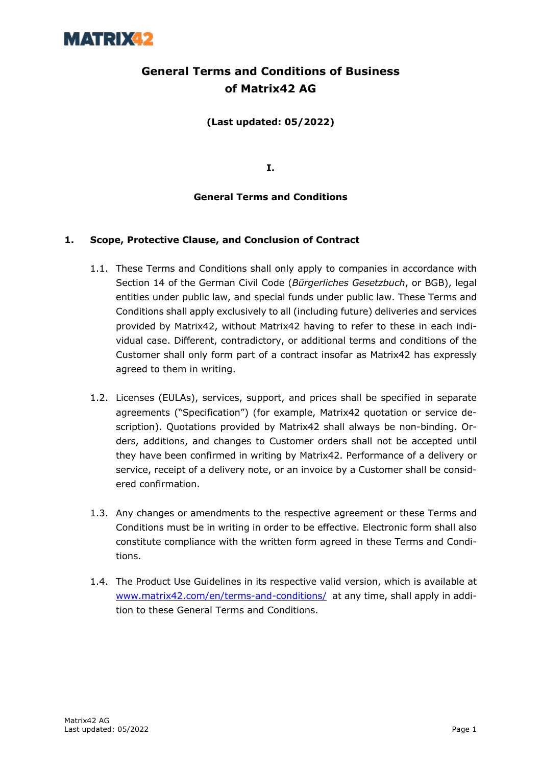

### **General Terms and Conditions of Business of Matrix42 AG**

**(Last updated: 05/2022)**

**I.**

#### **General Terms and Conditions**

#### **1. Scope, Protective Clause, and Conclusion of Contract**

- 1.1. These Terms and Conditions shall only apply to companies in accordance with Section 14 of the German Civil Code (*Bürgerliches Gesetzbuch*, or BGB), legal entities under public law, and special funds under public law. These Terms and Conditions shall apply exclusively to all (including future) deliveries and services provided by Matrix42, without Matrix42 having to refer to these in each individual case. Different, contradictory, or additional terms and conditions of the Customer shall only form part of a contract insofar as Matrix42 has expressly agreed to them in writing.
- 1.2. Licenses (EULAs), services, support, and prices shall be specified in separate agreements ("Specification") (for example, Matrix42 quotation or service description). Quotations provided by Matrix42 shall always be non-binding. Orders, additions, and changes to Customer orders shall not be accepted until they have been confirmed in writing by Matrix42. Performance of a delivery or service, receipt of a delivery note, or an invoice by a Customer shall be considered confirmation.
- 1.3. Any changes or amendments to the respective agreement or these Terms and Conditions must be in writing in order to be effective. Electronic form shall also constitute compliance with the written form agreed in these Terms and Conditions.
- 1.4. The Product Use Guidelines in its respective valid version, which is available at www.matrix42.com/en/terms-and-conditions/ at any time, shall apply in addition to these General Terms and Conditions.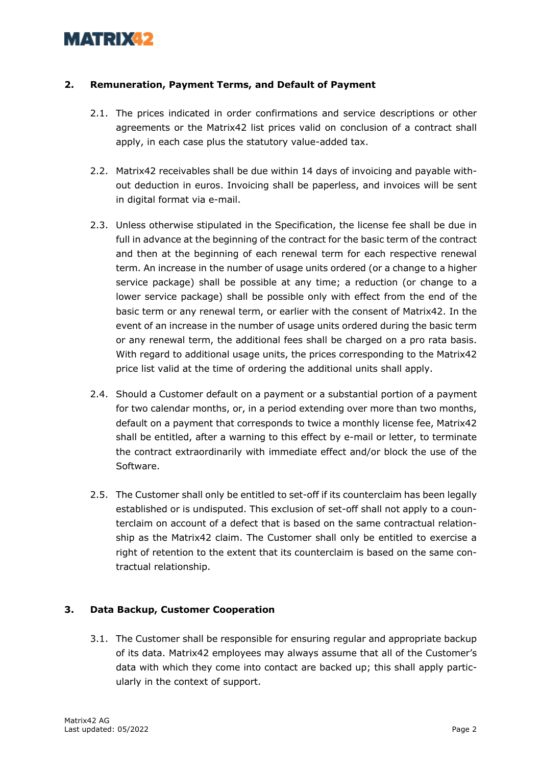#### **2. Remuneration, Payment Terms, and Default of Payment**

- 2.1. The prices indicated in order confirmations and service descriptions or other agreements or the Matrix42 list prices valid on conclusion of a contract shall apply, in each case plus the statutory value-added tax.
- 2.2. Matrix42 receivables shall be due within 14 days of invoicing and payable without deduction in euros. Invoicing shall be paperless, and invoices will be sent in digital format via e-mail.
- 2.3. Unless otherwise stipulated in the Specification, the license fee shall be due in full in advance at the beginning of the contract for the basic term of the contract and then at the beginning of each renewal term for each respective renewal term. An increase in the number of usage units ordered (or a change to a higher service package) shall be possible at any time; a reduction (or change to a lower service package) shall be possible only with effect from the end of the basic term or any renewal term, or earlier with the consent of Matrix42. In the event of an increase in the number of usage units ordered during the basic term or any renewal term, the additional fees shall be charged on a pro rata basis. With regard to additional usage units, the prices corresponding to the Matrix42 price list valid at the time of ordering the additional units shall apply.
- 2.4. Should a Customer default on a payment or a substantial portion of a payment for two calendar months, or, in a period extending over more than two months, default on a payment that corresponds to twice a monthly license fee, Matrix42 shall be entitled, after a warning to this effect by e-mail or letter, to terminate the contract extraordinarily with immediate effect and/or block the use of the Software.
- 2.5. The Customer shall only be entitled to set-off if its counterclaim has been legally established or is undisputed. This exclusion of set-off shall not apply to a counterclaim on account of a defect that is based on the same contractual relationship as the Matrix42 claim. The Customer shall only be entitled to exercise a right of retention to the extent that its counterclaim is based on the same contractual relationship.

### **3. Data Backup, Customer Cooperation**

3.1. The Customer shall be responsible for ensuring regular and appropriate backup of its data. Matrix42 employees may always assume that all of the Customer's data with which they come into contact are backed up; this shall apply particularly in the context of support.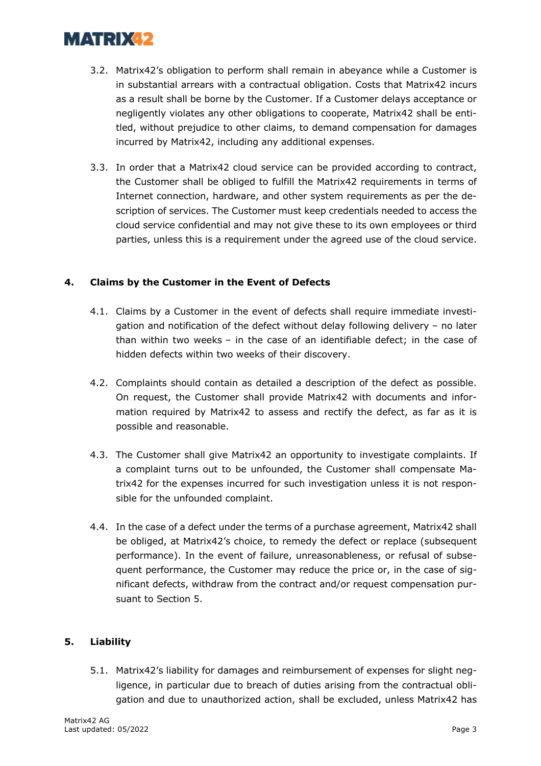- 3.2. Matrix42's obligation to perform shall remain in abeyance while a Customer is in substantial arrears with a contractual obligation. Costs that Matrix42 incurs as a result shall be borne by the Customer. If a Customer delays acceptance or negligently violates any other obligations to cooperate, Matrix42 shall be entitled, without prejudice to other claims, to demand compensation for damages incurred by Matrix42, including any additional expenses.
- 3.3. In order that a Matrix42 cloud service can be provided according to contract, the Customer shall be obliged to fulfill the Matrix42 requirements in terms of Internet connection, hardware, and other system requirements as per the description of services. The Customer must keep credentials needed to access the cloud service confidential and may not give these to its own employees or third parties, unless this is a requirement under the agreed use of the cloud service.

### **4. Claims by the Customer in the Event of Defects**

- 4.1. Claims by a Customer in the event of defects shall require immediate investigation and notification of the defect without delay following delivery – no later than within two weeks – in the case of an identifiable defect; in the case of hidden defects within two weeks of their discovery.
- 4.2. Complaints should contain as detailed a description of the defect as possible. On request, the Customer shall provide Matrix42 with documents and information required by Matrix42 to assess and rectify the defect, as far as it is possible and reasonable.
- 4.3. The Customer shall give Matrix42 an opportunity to investigate complaints. If a complaint turns out to be unfounded, the Customer shall compensate Matrix42 for the expenses incurred for such investigation unless it is not responsible for the unfounded complaint.
- 4.4. In the case of a defect under the terms of a purchase agreement, Matrix42 shall be obliged, at Matrix42's choice, to remedy the defect or replace (subsequent performance). In the event of failure, unreasonableness, or refusal of subsequent performance, the Customer may reduce the price or, in the case of significant defects, withdraw from the contract and/or request compensation pursuant to Section 5.

### **5. Liability**

5.1. Matrix42's liability for damages and reimbursement of expenses for slight negligence, in particular due to breach of duties arising from the contractual obligation and due to unauthorized action, shall be excluded, unless Matrix42 has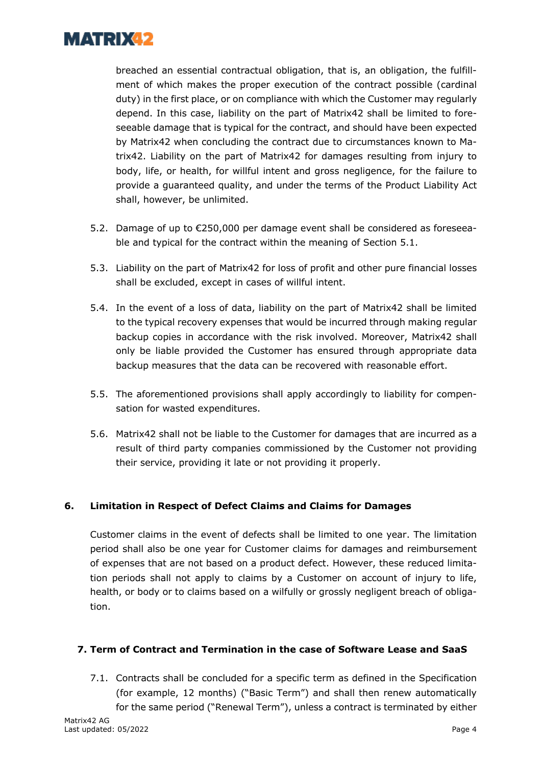

breached an essential contractual obligation, that is, an obligation, the fulfillment of which makes the proper execution of the contract possible (cardinal duty) in the first place, or on compliance with which the Customer may regularly depend. In this case, liability on the part of Matrix42 shall be limited to foreseeable damage that is typical for the contract, and should have been expected by Matrix42 when concluding the contract due to circumstances known to Matrix42. Liability on the part of Matrix42 for damages resulting from injury to body, life, or health, for willful intent and gross negligence, for the failure to provide a guaranteed quality, and under the terms of the Product Liability Act shall, however, be unlimited.

- 5.2. Damage of up to €250,000 per damage event shall be considered as foreseeable and typical for the contract within the meaning of Section 5.1.
- 5.3. Liability on the part of Matrix42 for loss of profit and other pure financial losses shall be excluded, except in cases of willful intent.
- 5.4. In the event of a loss of data, liability on the part of Matrix42 shall be limited to the typical recovery expenses that would be incurred through making regular backup copies in accordance with the risk involved. Moreover, Matrix42 shall only be liable provided the Customer has ensured through appropriate data backup measures that the data can be recovered with reasonable effort.
- 5.5. The aforementioned provisions shall apply accordingly to liability for compensation for wasted expenditures.
- 5.6. Matrix42 shall not be liable to the Customer for damages that are incurred as a result of third party companies commissioned by the Customer not providing their service, providing it late or not providing it properly.

### **6. Limitation in Respect of Defect Claims and Claims for Damages**

Customer claims in the event of defects shall be limited to one year. The limitation period shall also be one year for Customer claims for damages and reimbursement of expenses that are not based on a product defect. However, these reduced limitation periods shall not apply to claims by a Customer on account of injury to life, health, or body or to claims based on a wilfully or grossly negligent breach of obligation.

#### **7. Term of Contract and Termination in the case of Software Lease and SaaS**

7.1. Contracts shall be concluded for a specific term as defined in the Specification (for example, 12 months) ("Basic Term") and shall then renew automatically for the same period ("Renewal Term"), unless a contract is terminated by either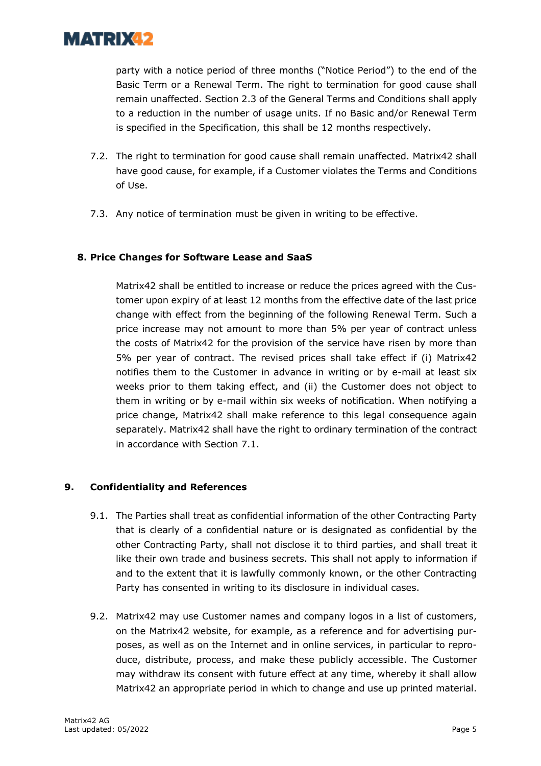

party with a notice period of three months ("Notice Period") to the end of the Basic Term or a Renewal Term. The right to termination for good cause shall remain unaffected. Section 2.3 of the General Terms and Conditions shall apply to a reduction in the number of usage units. If no Basic and/or Renewal Term is specified in the Specification, this shall be 12 months respectively.

- 7.2. The right to termination for good cause shall remain unaffected. Matrix42 shall have good cause, for example, if a Customer violates the Terms and Conditions of Use.
- 7.3. Any notice of termination must be given in writing to be effective.

#### **8. Price Changes for Software Lease and SaaS**

Matrix42 shall be entitled to increase or reduce the prices agreed with the Customer upon expiry of at least 12 months from the effective date of the last price change with effect from the beginning of the following Renewal Term. Such a price increase may not amount to more than 5% per year of contract unless the costs of Matrix42 for the provision of the service have risen by more than 5% per year of contract. The revised prices shall take effect if (i) Matrix42 notifies them to the Customer in advance in writing or by e-mail at least six weeks prior to them taking effect, and (ii) the Customer does not object to them in writing or by e-mail within six weeks of notification. When notifying a price change, Matrix42 shall make reference to this legal consequence again separately. Matrix42 shall have the right to ordinary termination of the contract in accordance with Section 7.1.

### **9. Confidentiality and References**

- 9.1. The Parties shall treat as confidential information of the other Contracting Party that is clearly of a confidential nature or is designated as confidential by the other Contracting Party, shall not disclose it to third parties, and shall treat it like their own trade and business secrets. This shall not apply to information if and to the extent that it is lawfully commonly known, or the other Contracting Party has consented in writing to its disclosure in individual cases.
- 9.2. Matrix42 may use Customer names and company logos in a list of customers, on the Matrix42 website, for example, as a reference and for advertising purposes, as well as on the Internet and in online services, in particular to reproduce, distribute, process, and make these publicly accessible. The Customer may withdraw its consent with future effect at any time, whereby it shall allow Matrix42 an appropriate period in which to change and use up printed material.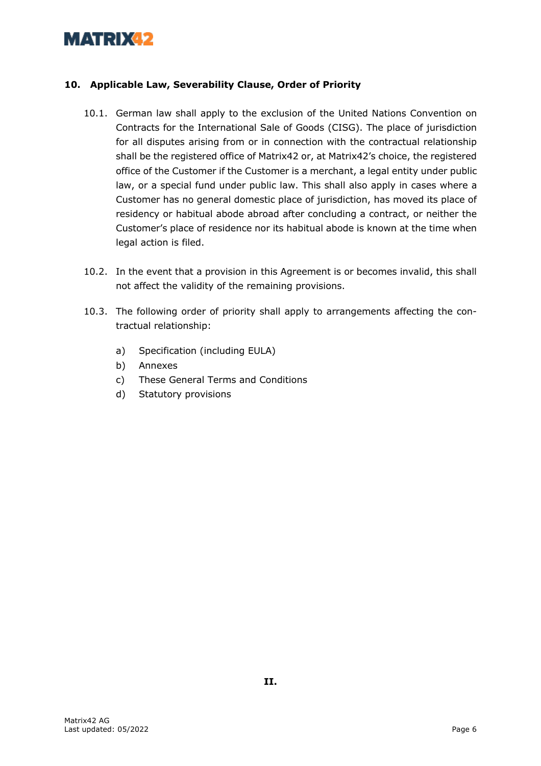#### **10. Applicable Law, Severability Clause, Order of Priority**

- 10.1. German law shall apply to the exclusion of the United Nations Convention on Contracts for the International Sale of Goods (CISG). The place of jurisdiction for all disputes arising from or in connection with the contractual relationship shall be the registered office of Matrix42 or, at Matrix42's choice, the registered office of the Customer if the Customer is a merchant, a legal entity under public law, or a special fund under public law. This shall also apply in cases where a Customer has no general domestic place of jurisdiction, has moved its place of residency or habitual abode abroad after concluding a contract, or neither the Customer's place of residence nor its habitual abode is known at the time when legal action is filed.
- 10.2. In the event that a provision in this Agreement is or becomes invalid, this shall not affect the validity of the remaining provisions.
- 10.3. The following order of priority shall apply to arrangements affecting the contractual relationship:
	- a) Specification (including EULA)
	- b) Annexes
	- c) These General Terms and Conditions
	- d) Statutory provisions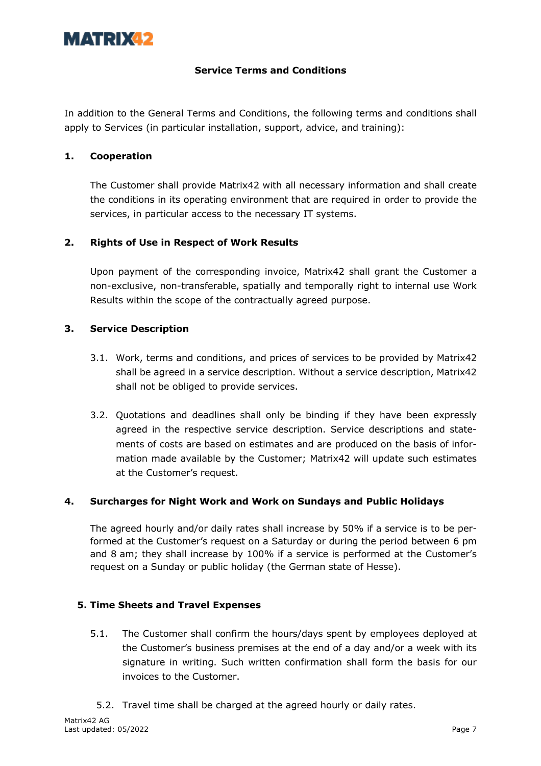#### **Service Terms and Conditions**

In addition to the General Terms and Conditions, the following terms and conditions shall apply to Services (in particular installation, support, advice, and training):

#### **1. Cooperation**

The Customer shall provide Matrix42 with all necessary information and shall create the conditions in its operating environment that are required in order to provide the services, in particular access to the necessary IT systems.

#### **2. Rights of Use in Respect of Work Results**

Upon payment of the corresponding invoice, Matrix42 shall grant the Customer a non-exclusive, non-transferable, spatially and temporally right to internal use Work Results within the scope of the contractually agreed purpose.

#### **3. Service Description**

- 3.1. Work, terms and conditions, and prices of services to be provided by Matrix42 shall be agreed in a service description. Without a service description, Matrix42 shall not be obliged to provide services.
- 3.2. Quotations and deadlines shall only be binding if they have been expressly agreed in the respective service description. Service descriptions and statements of costs are based on estimates and are produced on the basis of information made available by the Customer; Matrix42 will update such estimates at the Customer's request.

#### **4. Surcharges for Night Work and Work on Sundays and Public Holidays**

The agreed hourly and/or daily rates shall increase by 50% if a service is to be performed at the Customer's request on a Saturday or during the period between 6 pm and 8 am; they shall increase by 100% if a service is performed at the Customer's request on a Sunday or public holiday (the German state of Hesse).

#### **5. Time Sheets and Travel Expenses**

- 5.1. The Customer shall confirm the hours/days spent by employees deployed at the Customer's business premises at the end of a day and/or a week with its signature in writing. Such written confirmation shall form the basis for our invoices to the Customer.
- 5.2. Travel time shall be charged at the agreed hourly or daily rates.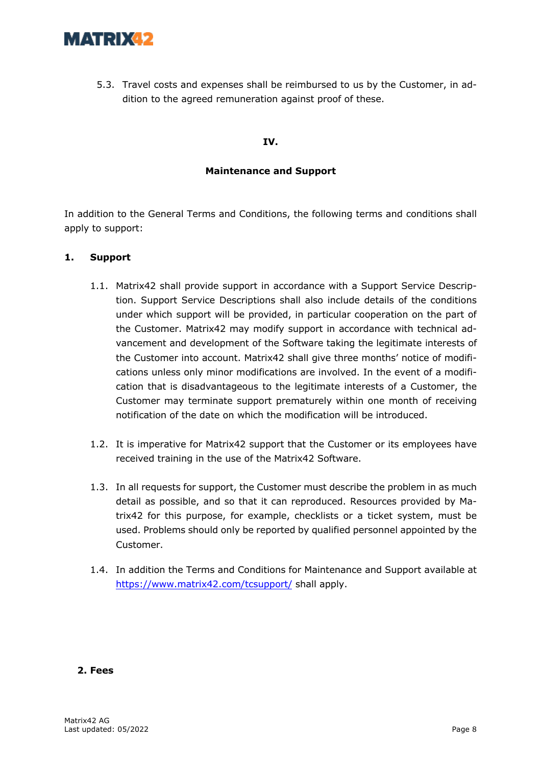

5.3. Travel costs and expenses shall be reimbursed to us by the Customer, in addition to the agreed remuneration against proof of these.

#### **IV.**

#### **Maintenance and Support**

In addition to the General Terms and Conditions, the following terms and conditions shall apply to support:

#### **1. Support**

- 1.1. Matrix42 shall provide support in accordance with a Support Service Description. Support Service Descriptions shall also include details of the conditions under which support will be provided, in particular cooperation on the part of the Customer. Matrix42 may modify support in accordance with technical advancement and development of the Software taking the legitimate interests of the Customer into account. Matrix42 shall give three months' notice of modifications unless only minor modifications are involved. In the event of a modification that is disadvantageous to the legitimate interests of a Customer, the Customer may terminate support prematurely within one month of receiving notification of the date on which the modification will be introduced.
- 1.2. It is imperative for Matrix42 support that the Customer or its employees have received training in the use of the Matrix42 Software.
- 1.3. In all requests for support, the Customer must describe the problem in as much detail as possible, and so that it can reproduced. Resources provided by Matrix42 for this purpose, for example, checklists or a ticket system, must be used. Problems should only be reported by qualified personnel appointed by the Customer.
- 1.4. In addition the Terms and Conditions for Maintenance and Support available at https://www.matrix42.com/tcsupport/ shall apply.

#### **2. Fees**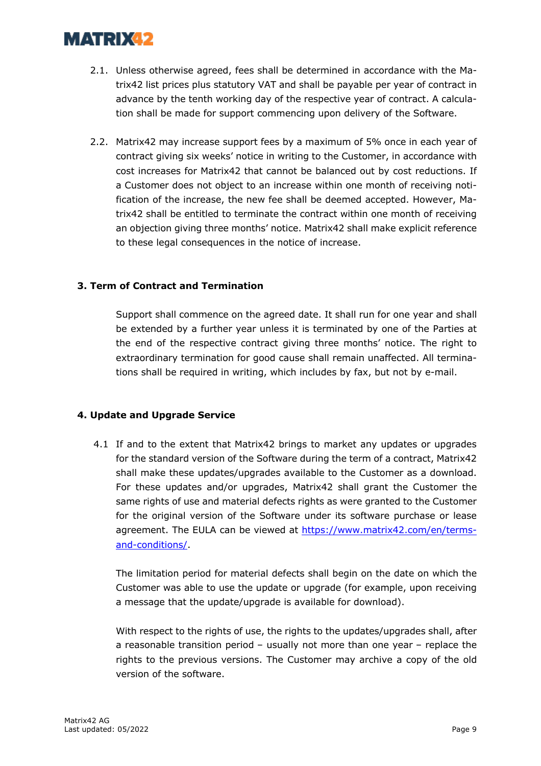- 2.1. Unless otherwise agreed, fees shall be determined in accordance with the Matrix42 list prices plus statutory VAT and shall be payable per year of contract in advance by the tenth working day of the respective year of contract. A calculation shall be made for support commencing upon delivery of the Software.
- 2.2. Matrix42 may increase support fees by a maximum of 5% once in each year of contract giving six weeks' notice in writing to the Customer, in accordance with cost increases for Matrix42 that cannot be balanced out by cost reductions. If a Customer does not object to an increase within one month of receiving notification of the increase, the new fee shall be deemed accepted. However, Matrix42 shall be entitled to terminate the contract within one month of receiving an objection giving three months' notice. Matrix42 shall make explicit reference to these legal consequences in the notice of increase.

### **3. Term of Contract and Termination**

Support shall commence on the agreed date. It shall run for one year and shall be extended by a further year unless it is terminated by one of the Parties at the end of the respective contract giving three months' notice. The right to extraordinary termination for good cause shall remain unaffected. All terminations shall be required in writing, which includes by fax, but not by e-mail.

#### **4. Update and Upgrade Service**

4.1 If and to the extent that Matrix42 brings to market any updates or upgrades for the standard version of the Software during the term of a contract, Matrix42 shall make these updates/upgrades available to the Customer as a download. For these updates and/or upgrades, Matrix42 shall grant the Customer the same rights of use and material defects rights as were granted to the Customer for the original version of the Software under its software purchase or lease agreement. The EULA can be viewed at https://www.matrix42.com/en/termsand-conditions/.

The limitation period for material defects shall begin on the date on which the Customer was able to use the update or upgrade (for example, upon receiving a message that the update/upgrade is available for download).

With respect to the rights of use, the rights to the updates/upgrades shall, after a reasonable transition period – usually not more than one year – replace the rights to the previous versions. The Customer may archive a copy of the old version of the software.